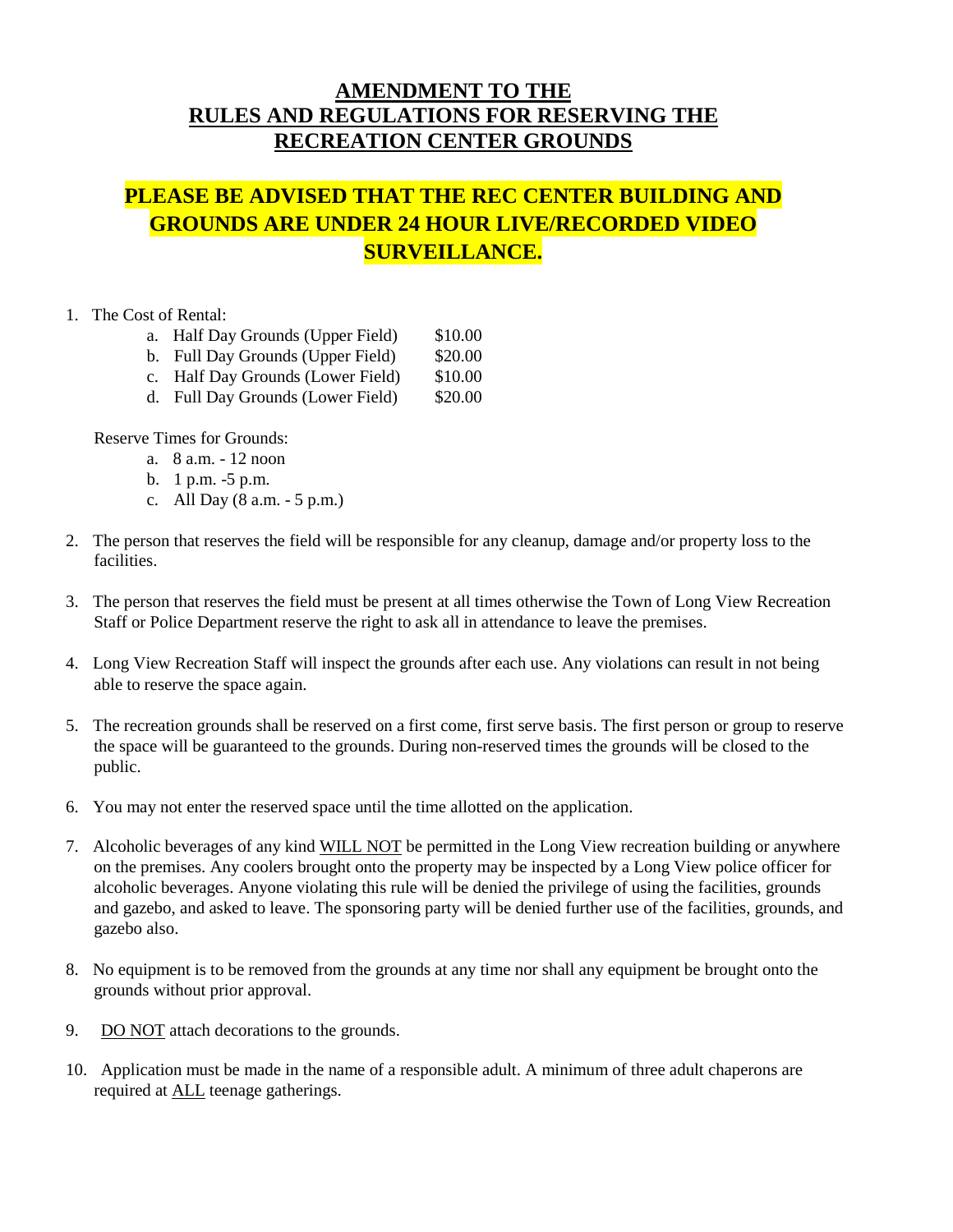## **AMENDMENT TO THE RULES AND REGULATIONS FOR RESERVING THE RECREATION CENTER GROUNDS**

## **PLEASE BE ADVISED THAT THE REC CENTER BUILDING AND GROUNDS ARE UNDER 24 HOUR LIVE/RECORDED VIDEO SURVEILLANCE.**

- 1. The Cost of Rental:
	- a. Half Day Grounds (Upper Field) \$10.00
	- b. Full Day Grounds (Upper Field) \$20.00
	- c. Half Day Grounds (Lower Field) \$10.00
	- d. Full Day Grounds (Lower Field) \$20.00

Reserve Times for Grounds:

- a. 8 a.m. 12 noon
- b. 1 p.m. -5 p.m.
- c. All Day (8 a.m. 5 p.m.)
- 2. The person that reserves the field will be responsible for any cleanup, damage and/or property loss to the facilities.
- 3. The person that reserves the field must be present at all times otherwise the Town of Long View Recreation Staff or Police Department reserve the right to ask all in attendance to leave the premises.
- 4. Long View Recreation Staff will inspect the grounds after each use. Any violations can result in not being able to reserve the space again.
- 5. The recreation grounds shall be reserved on a first come, first serve basis. The first person or group to reserve the space will be guaranteed to the grounds. During non-reserved times the grounds will be closed to the public.
- 6. You may not enter the reserved space until the time allotted on the application.
- 7. Alcoholic beverages of any kind WILL NOT be permitted in the Long View recreation building or anywhere on the premises. Any coolers brought onto the property may be inspected by a Long View police officer for alcoholic beverages. Anyone violating this rule will be denied the privilege of using the facilities, grounds and gazebo, and asked to leave. The sponsoring party will be denied further use of the facilities, grounds, and gazebo also.
- 8. No equipment is to be removed from the grounds at any time nor shall any equipment be brought onto the grounds without prior approval.
- 9. DO NOT attach decorations to the grounds.
- 10. Application must be made in the name of a responsible adult. A minimum of three adult chaperons are required at ALL teenage gatherings.